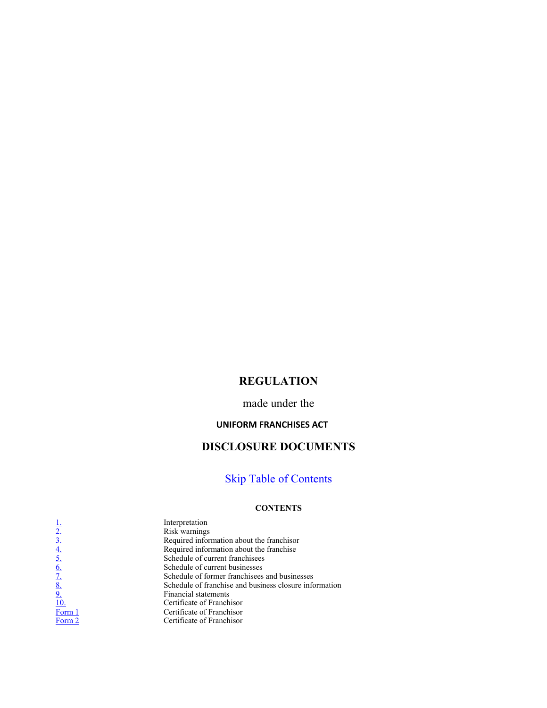# REGULATION

## made under the

### UNIFORM FRANCHISES ACT

# DISCLOSURE DOCUMENTS

# **Skip Table of Contents**

#### **CONTENTS**

 $\frac{1}{2}$ <br>  $\frac{3}{3}$ <br>  $\frac{4}{5}$ <br>  $\frac{6}{5}$ <br>  $\frac{8}{10}$ <br>  $\frac{1}{10}$ <br>
Risk warnings<br>
Required information<br>
Required information<br>
Schedule of comparison<br>
Schedule of formation<br>
Schedule of formation<br>
Schedule of formation<br>
S Risk warnings Required information about the franchisor Required information about the franchise Schedule of current franchisees Schedule of current businesses Schedule of former franchisees and businesses Schedule of franchise and business closure information Financial statements Certificate of Franchisor Certificate of Franchisor Form 2 Certificate of Franchisor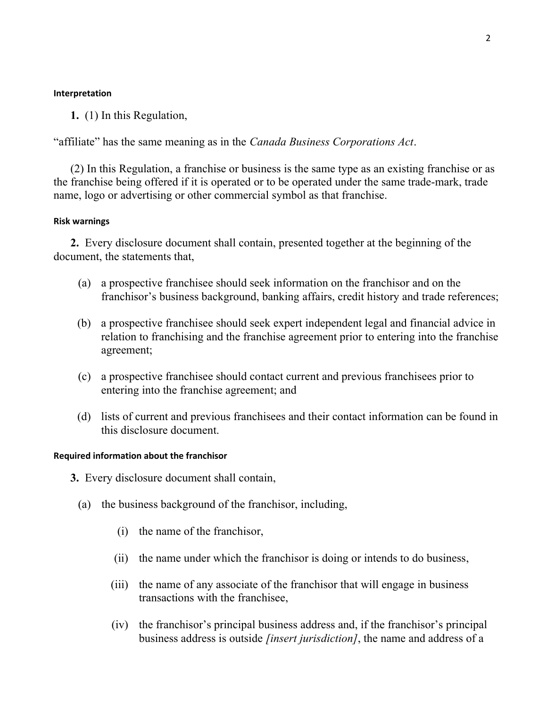### Interpretation

1. (1) In this Regulation,

"affiliate" has the same meaning as in the Canada Business Corporations Act.

 (2) In this Regulation, a franchise or business is the same type as an existing franchise or as the franchise being offered if it is operated or to be operated under the same trade-mark, trade name, logo or advertising or other commercial symbol as that franchise.

### Risk warnings

 2. Every disclosure document shall contain, presented together at the beginning of the document, the statements that,

- (a) a prospective franchisee should seek information on the franchisor and on the franchisor's business background, banking affairs, credit history and trade references;
- (b) a prospective franchisee should seek expert independent legal and financial advice in relation to franchising and the franchise agreement prior to entering into the franchise agreement;
- (c) a prospective franchisee should contact current and previous franchisees prior to entering into the franchise agreement; and
- (d) lists of current and previous franchisees and their contact information can be found in this disclosure document.

### Required information about the franchisor

- 3. Every disclosure document shall contain,
	- (a) the business background of the franchisor, including,
		- (i) the name of the franchisor,
		- (ii) the name under which the franchisor is doing or intends to do business,
		- (iii) the name of any associate of the franchisor that will engage in business transactions with the franchisee,
		- (iv) the franchisor's principal business address and, if the franchisor's principal business address is outside *[insert jurisdiction]*, the name and address of a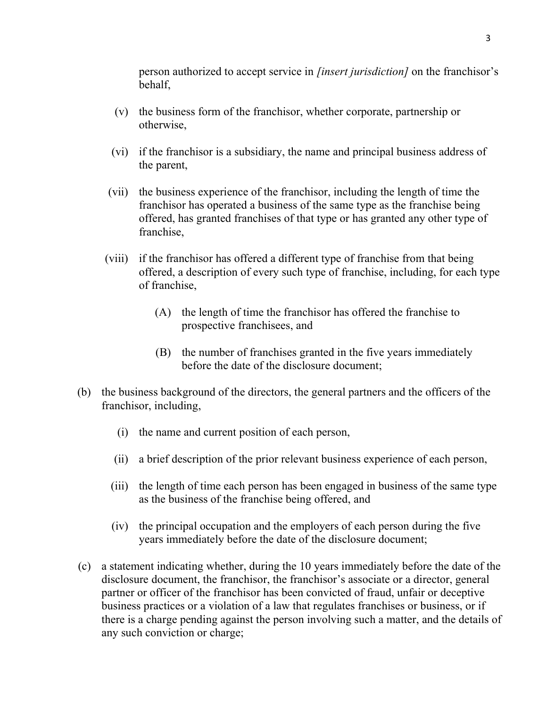person authorized to accept service in *[insert jurisdiction]* on the franchisor's behalf,

- (v) the business form of the franchisor, whether corporate, partnership or otherwise,
- (vi) if the franchisor is a subsidiary, the name and principal business address of the parent,
- (vii) the business experience of the franchisor, including the length of time the franchisor has operated a business of the same type as the franchise being offered, has granted franchises of that type or has granted any other type of franchise,
- (viii) if the franchisor has offered a different type of franchise from that being offered, a description of every such type of franchise, including, for each type of franchise,
	- (A) the length of time the franchisor has offered the franchise to prospective franchisees, and
	- (B) the number of franchises granted in the five years immediately before the date of the disclosure document;
- (b) the business background of the directors, the general partners and the officers of the franchisor, including,
	- (i) the name and current position of each person,
	- (ii) a brief description of the prior relevant business experience of each person,
	- (iii) the length of time each person has been engaged in business of the same type as the business of the franchise being offered, and
	- (iv) the principal occupation and the employers of each person during the five years immediately before the date of the disclosure document;
- (c) a statement indicating whether, during the 10 years immediately before the date of the disclosure document, the franchisor, the franchisor's associate or a director, general partner or officer of the franchisor has been convicted of fraud, unfair or deceptive business practices or a violation of a law that regulates franchises or business, or if there is a charge pending against the person involving such a matter, and the details of any such conviction or charge;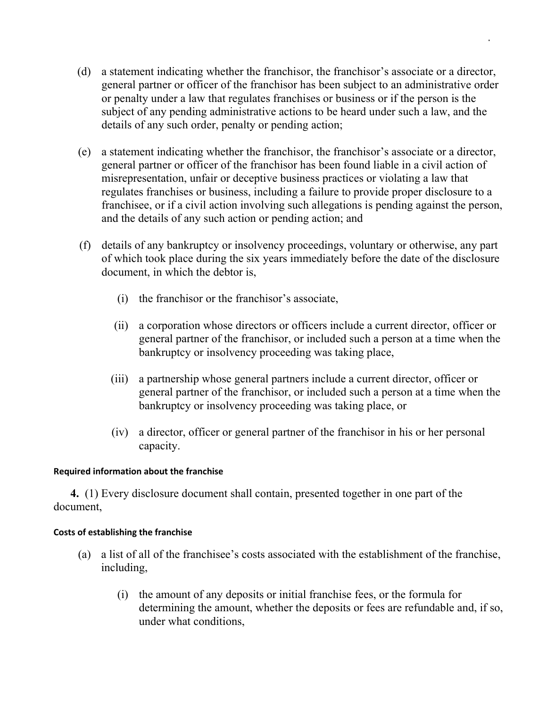- (d) a statement indicating whether the franchisor, the franchisor's associate or a director, general partner or officer of the franchisor has been subject to an administrative order or penalty under a law that regulates franchises or business or if the person is the subject of any pending administrative actions to be heard under such a law, and the details of any such order, penalty or pending action;
- (e) a statement indicating whether the franchisor, the franchisor's associate or a director, general partner or officer of the franchisor has been found liable in a civil action of misrepresentation, unfair or deceptive business practices or violating a law that regulates franchises or business, including a failure to provide proper disclosure to a franchisee, or if a civil action involving such allegations is pending against the person, and the details of any such action or pending action; and
- (f) details of any bankruptcy or insolvency proceedings, voluntary or otherwise, any part of which took place during the six years immediately before the date of the disclosure document, in which the debtor is,
	- (i) the franchisor or the franchisor's associate,
	- (ii) a corporation whose directors or officers include a current director, officer or general partner of the franchisor, or included such a person at a time when the bankruptcy or insolvency proceeding was taking place,
	- (iii) a partnership whose general partners include a current director, officer or general partner of the franchisor, or included such a person at a time when the bankruptcy or insolvency proceeding was taking place, or
	- (iv) a director, officer or general partner of the franchisor in his or her personal capacity.

## Required information about the franchise

 4. (1) Every disclosure document shall contain, presented together in one part of the document,

# Costs of establishing the franchise

- (a) a list of all of the franchisee's costs associated with the establishment of the franchise, including,
	- (i) the amount of any deposits or initial franchise fees, or the formula for determining the amount, whether the deposits or fees are refundable and, if so, under what conditions,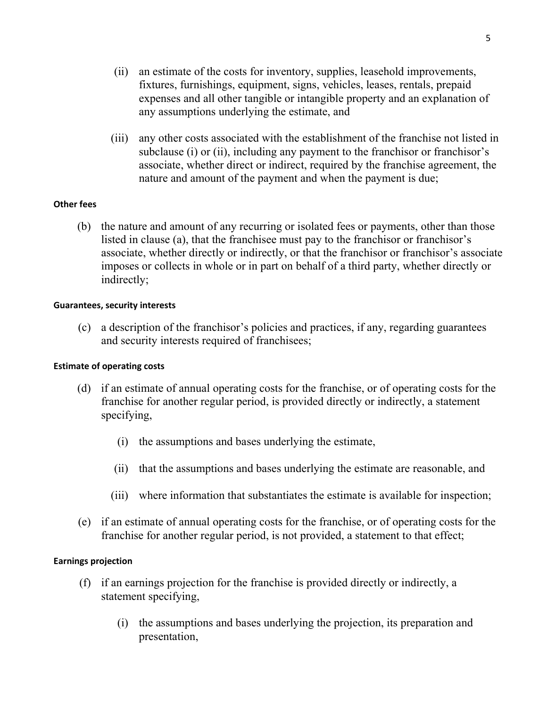- (ii) an estimate of the costs for inventory, supplies, leasehold improvements, fixtures, furnishings, equipment, signs, vehicles, leases, rentals, prepaid expenses and all other tangible or intangible property and an explanation of any assumptions underlying the estimate, and
- (iii) any other costs associated with the establishment of the franchise not listed in subclause (i) or (ii), including any payment to the franchisor or franchisor's associate, whether direct or indirect, required by the franchise agreement, the nature and amount of the payment and when the payment is due;

## Other fees

 (b) the nature and amount of any recurring or isolated fees or payments, other than those listed in clause (a), that the franchisee must pay to the franchisor or franchisor's associate, whether directly or indirectly, or that the franchisor or franchisor's associate imposes or collects in whole or in part on behalf of a third party, whether directly or indirectly;

## Guarantees, security interests

 (c) a description of the franchisor's policies and practices, if any, regarding guarantees and security interests required of franchisees;

## Estimate of operating costs

- (d) if an estimate of annual operating costs for the franchise, or of operating costs for the franchise for another regular period, is provided directly or indirectly, a statement specifying,
	- (i) the assumptions and bases underlying the estimate,
	- (ii) that the assumptions and bases underlying the estimate are reasonable, and
	- (iii) where information that substantiates the estimate is available for inspection;
- (e) if an estimate of annual operating costs for the franchise, or of operating costs for the franchise for another regular period, is not provided, a statement to that effect;

## Earnings projection

- (f) if an earnings projection for the franchise is provided directly or indirectly, a statement specifying,
	- (i) the assumptions and bases underlying the projection, its preparation and presentation,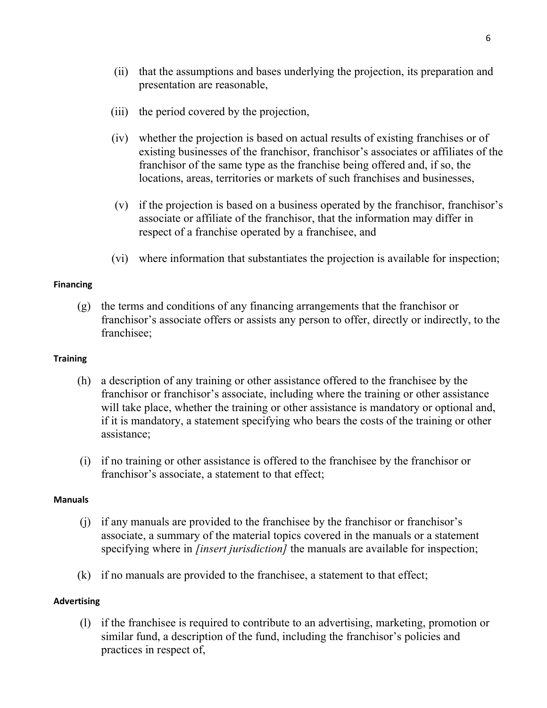- (ii) that the assumptions and bases underlying the projection, its preparation and presentation are reasonable,
- (iii) the period covered by the projection,
- (iv) whether the projection is based on actual results of existing franchises or of existing businesses of the franchisor, franchisor's associates or affiliates of the franchisor of the same type as the franchise being offered and, if so, the locations, areas, territories or markets of such franchises and businesses,
- (v) if the projection is based on a business operated by the franchisor, franchisor's associate or affiliate of the franchisor, that the information may differ in respect of a franchise operated by a franchisee, and
- (vi) where information that substantiates the projection is available for inspection;

### Financing

(g) the terms and conditions of any financing arrangements that the franchisor or franchisor's associate offers or assists any person to offer, directly or indirectly, to the franchisee;

### **Training**

- (h) a description of any training or other assistance offered to the franchisee by the franchisor or franchisor's associate, including where the training or other assistance will take place, whether the training or other assistance is mandatory or optional and, if it is mandatory, a statement specifying who bears the costs of the training or other assistance;
- (i) if no training or other assistance is offered to the franchisee by the franchisor or franchisor's associate, a statement to that effect;

#### Manuals

- (j) if any manuals are provided to the franchisee by the franchisor or franchisor's associate, a summary of the material topics covered in the manuals or a statement specifying where in *[insert jurisdiction]* the manuals are available for inspection;
- (k) if no manuals are provided to the franchisee, a statement to that effect;

#### Advertising

(l) if the franchisee is required to contribute to an advertising, marketing, promotion or similar fund, a description of the fund, including the franchisor's policies and practices in respect of,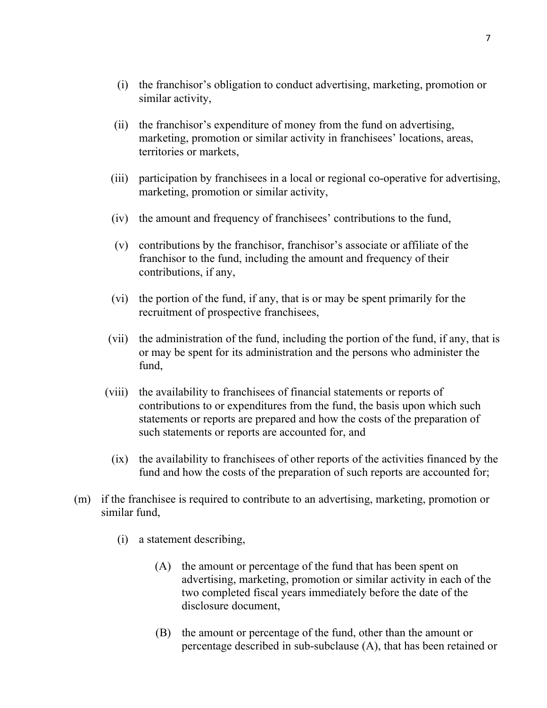- (i) the franchisor's obligation to conduct advertising, marketing, promotion or similar activity,
- (ii) the franchisor's expenditure of money from the fund on advertising, marketing, promotion or similar activity in franchisees' locations, areas, territories or markets,
- (iii) participation by franchisees in a local or regional co-operative for advertising, marketing, promotion or similar activity,
- (iv) the amount and frequency of franchisees' contributions to the fund,
- (v) contributions by the franchisor, franchisor's associate or affiliate of the franchisor to the fund, including the amount and frequency of their contributions, if any,
- (vi) the portion of the fund, if any, that is or may be spent primarily for the recruitment of prospective franchisees,
- (vii) the administration of the fund, including the portion of the fund, if any, that is or may be spent for its administration and the persons who administer the fund,
- (viii) the availability to franchisees of financial statements or reports of contributions to or expenditures from the fund, the basis upon which such statements or reports are prepared and how the costs of the preparation of such statements or reports are accounted for, and
	- (ix) the availability to franchisees of other reports of the activities financed by the fund and how the costs of the preparation of such reports are accounted for;
- (m) if the franchisee is required to contribute to an advertising, marketing, promotion or similar fund,
	- (i) a statement describing,
		- (A) the amount or percentage of the fund that has been spent on advertising, marketing, promotion or similar activity in each of the two completed fiscal years immediately before the date of the disclosure document,
		- (B) the amount or percentage of the fund, other than the amount or percentage described in sub-subclause (A), that has been retained or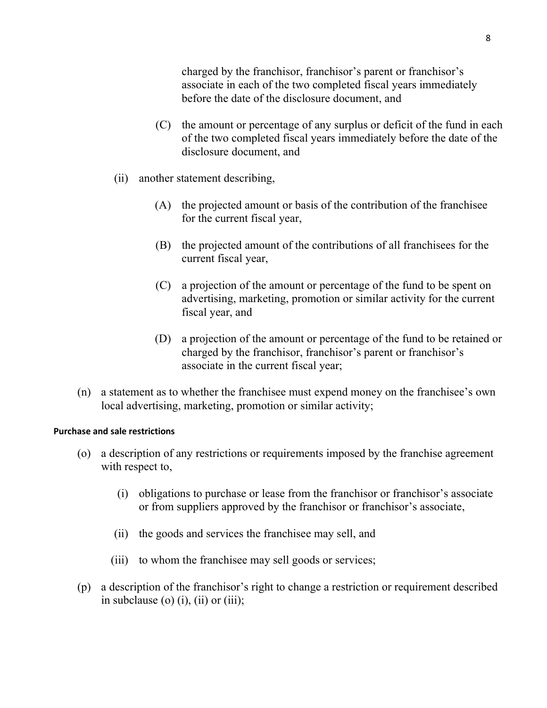charged by the franchisor, franchisor's parent or franchisor's associate in each of the two completed fiscal years immediately before the date of the disclosure document, and

- (C) the amount or percentage of any surplus or deficit of the fund in each of the two completed fiscal years immediately before the date of the disclosure document, and
- (ii) another statement describing,
	- (A) the projected amount or basis of the contribution of the franchisee for the current fiscal year,
	- (B) the projected amount of the contributions of all franchisees for the current fiscal year,
	- (C) a projection of the amount or percentage of the fund to be spent on advertising, marketing, promotion or similar activity for the current fiscal year, and
	- (D) a projection of the amount or percentage of the fund to be retained or charged by the franchisor, franchisor's parent or franchisor's associate in the current fiscal year;
- (n) a statement as to whether the franchisee must expend money on the franchisee's own local advertising, marketing, promotion or similar activity;

### Purchase and sale restrictions

- (o) a description of any restrictions or requirements imposed by the franchise agreement with respect to,
	- (i) obligations to purchase or lease from the franchisor or franchisor's associate or from suppliers approved by the franchisor or franchisor's associate,
	- (ii) the goods and services the franchisee may sell, and
	- (iii) to whom the franchisee may sell goods or services;
- (p) a description of the franchisor's right to change a restriction or requirement described in subclause (o) (i), (ii) or (iii);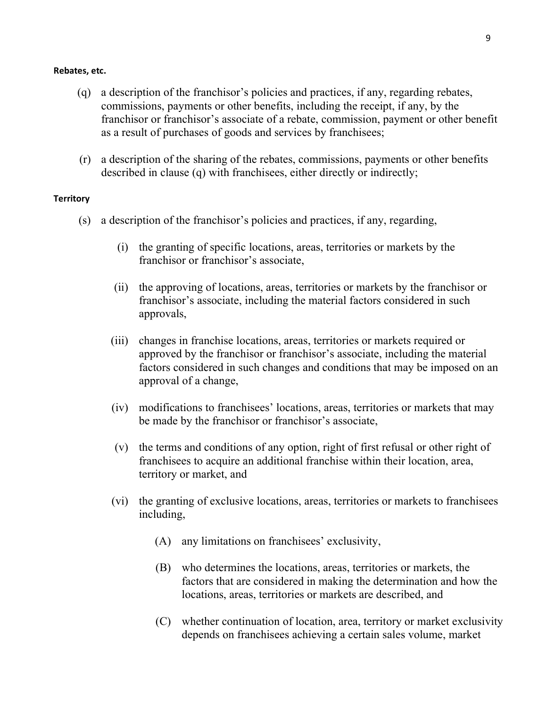#### Rebates, etc.

- (q) a description of the franchisor's policies and practices, if any, regarding rebates, commissions, payments or other benefits, including the receipt, if any, by the franchisor or franchisor's associate of a rebate, commission, payment or other benefit as a result of purchases of goods and services by franchisees;
- (r) a description of the sharing of the rebates, commissions, payments or other benefits described in clause (q) with franchisees, either directly or indirectly;

#### **Territory**

- (s) a description of the franchisor's policies and practices, if any, regarding,
	- (i) the granting of specific locations, areas, territories or markets by the franchisor or franchisor's associate,
	- (ii) the approving of locations, areas, territories or markets by the franchisor or franchisor's associate, including the material factors considered in such approvals,
	- (iii) changes in franchise locations, areas, territories or markets required or approved by the franchisor or franchisor's associate, including the material factors considered in such changes and conditions that may be imposed on an approval of a change,
	- (iv) modifications to franchisees' locations, areas, territories or markets that may be made by the franchisor or franchisor's associate,
	- (v) the terms and conditions of any option, right of first refusal or other right of franchisees to acquire an additional franchise within their location, area, territory or market, and
	- (vi) the granting of exclusive locations, areas, territories or markets to franchisees including,
		- (A) any limitations on franchisees' exclusivity,
		- (B) who determines the locations, areas, territories or markets, the factors that are considered in making the determination and how the locations, areas, territories or markets are described, and
		- (C) whether continuation of location, area, territory or market exclusivity depends on franchisees achieving a certain sales volume, market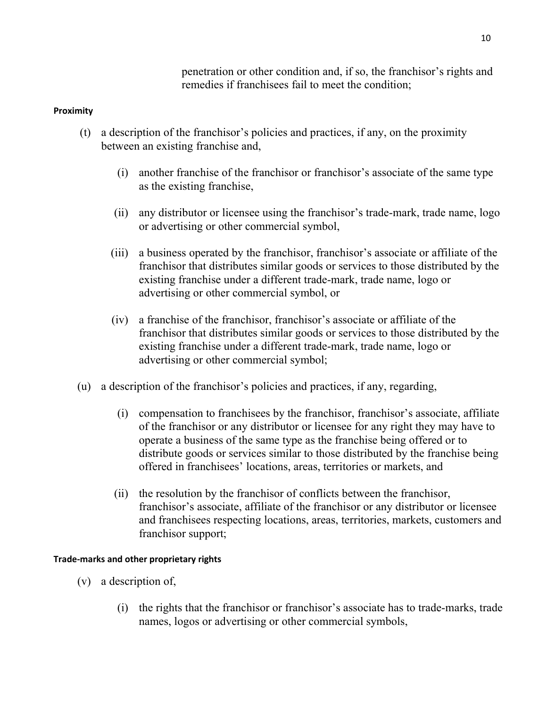penetration or other condition and, if so, the franchisor's rights and remedies if franchisees fail to meet the condition;

## Proximity

- (t) a description of the franchisor's policies and practices, if any, on the proximity between an existing franchise and,
	- (i) another franchise of the franchisor or franchisor's associate of the same type as the existing franchise,
	- (ii) any distributor or licensee using the franchisor's trade-mark, trade name, logo or advertising or other commercial symbol,
	- (iii) a business operated by the franchisor, franchisor's associate or affiliate of the franchisor that distributes similar goods or services to those distributed by the existing franchise under a different trade-mark, trade name, logo or advertising or other commercial symbol, or
	- (iv) a franchise of the franchisor, franchisor's associate or affiliate of the franchisor that distributes similar goods or services to those distributed by the existing franchise under a different trade-mark, trade name, logo or advertising or other commercial symbol;
- (u) a description of the franchisor's policies and practices, if any, regarding,
	- (i) compensation to franchisees by the franchisor, franchisor's associate, affiliate of the franchisor or any distributor or licensee for any right they may have to operate a business of the same type as the franchise being offered or to distribute goods or services similar to those distributed by the franchise being offered in franchisees' locations, areas, territories or markets, and
	- (ii) the resolution by the franchisor of conflicts between the franchisor, franchisor's associate, affiliate of the franchisor or any distributor or licensee and franchisees respecting locations, areas, territories, markets, customers and franchisor support;

## Trade-marks and other proprietary rights

- (v) a description of,
	- (i) the rights that the franchisor or franchisor's associate has to trade-marks, trade names, logos or advertising or other commercial symbols,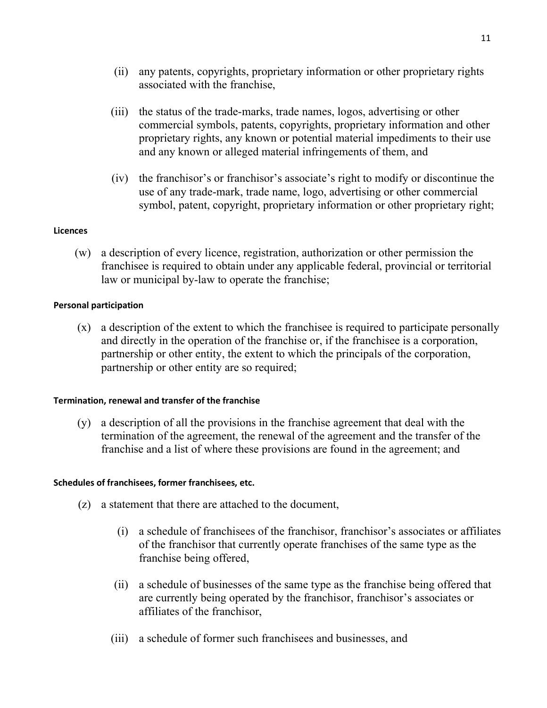- (ii) any patents, copyrights, proprietary information or other proprietary rights associated with the franchise,
- (iii) the status of the trade-marks, trade names, logos, advertising or other commercial symbols, patents, copyrights, proprietary information and other proprietary rights, any known or potential material impediments to their use and any known or alleged material infringements of them, and
- (iv) the franchisor's or franchisor's associate's right to modify or discontinue the use of any trade-mark, trade name, logo, advertising or other commercial symbol, patent, copyright, proprietary information or other proprietary right;

## **Licences**

 (w) a description of every licence, registration, authorization or other permission the franchisee is required to obtain under any applicable federal, provincial or territorial law or municipal by-law to operate the franchise;

## Personal participation

 (x) a description of the extent to which the franchisee is required to participate personally and directly in the operation of the franchise or, if the franchisee is a corporation, partnership or other entity, the extent to which the principals of the corporation, partnership or other entity are so required;

### Termination, renewal and transfer of the franchise

 (y) a description of all the provisions in the franchise agreement that deal with the termination of the agreement, the renewal of the agreement and the transfer of the franchise and a list of where these provisions are found in the agreement; and

## Schedules of franchisees, former franchisees, etc.

- (z) a statement that there are attached to the document,
	- (i) a schedule of franchisees of the franchisor, franchisor's associates or affiliates of the franchisor that currently operate franchises of the same type as the franchise being offered,
	- (ii) a schedule of businesses of the same type as the franchise being offered that are currently being operated by the franchisor, franchisor's associates or affiliates of the franchisor,
	- (iii) a schedule of former such franchisees and businesses, and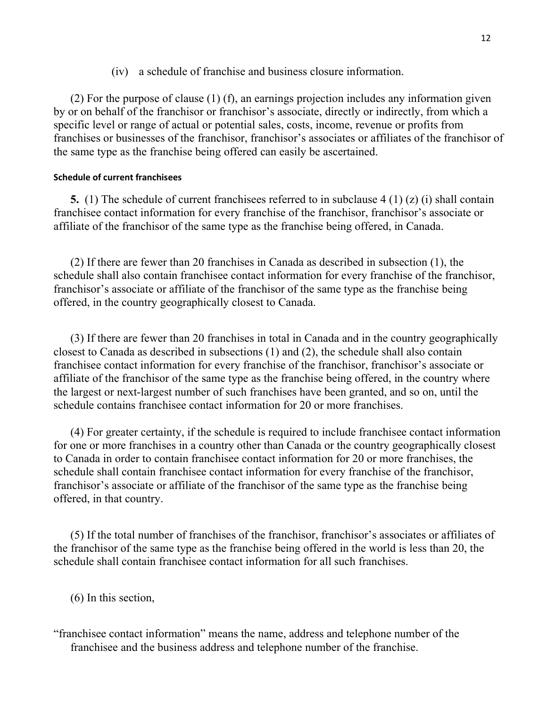(iv) a schedule of franchise and business closure information.

 (2) For the purpose of clause (1) (f), an earnings projection includes any information given by or on behalf of the franchisor or franchisor's associate, directly or indirectly, from which a specific level or range of actual or potential sales, costs, income, revenue or profits from franchises or businesses of the franchisor, franchisor's associates or affiliates of the franchisor of the same type as the franchise being offered can easily be ascertained.

### Schedule of current franchisees

5. (1) The schedule of current franchisees referred to in subclause 4 (1) (z) (i) shall contain franchisee contact information for every franchise of the franchisor, franchisor's associate or affiliate of the franchisor of the same type as the franchise being offered, in Canada.

 (2) If there are fewer than 20 franchises in Canada as described in subsection (1), the schedule shall also contain franchisee contact information for every franchise of the franchisor, franchisor's associate or affiliate of the franchisor of the same type as the franchise being offered, in the country geographically closest to Canada.

 (3) If there are fewer than 20 franchises in total in Canada and in the country geographically closest to Canada as described in subsections (1) and (2), the schedule shall also contain franchisee contact information for every franchise of the franchisor, franchisor's associate or affiliate of the franchisor of the same type as the franchise being offered, in the country where the largest or next-largest number of such franchises have been granted, and so on, until the schedule contains franchisee contact information for 20 or more franchises.

 (4) For greater certainty, if the schedule is required to include franchisee contact information for one or more franchises in a country other than Canada or the country geographically closest to Canada in order to contain franchisee contact information for 20 or more franchises, the schedule shall contain franchisee contact information for every franchise of the franchisor, franchisor's associate or affiliate of the franchisor of the same type as the franchise being offered, in that country.

 (5) If the total number of franchises of the franchisor, franchisor's associates or affiliates of the franchisor of the same type as the franchise being offered in the world is less than 20, the schedule shall contain franchisee contact information for all such franchises.

(6) In this section,

"franchisee contact information" means the name, address and telephone number of the franchisee and the business address and telephone number of the franchise.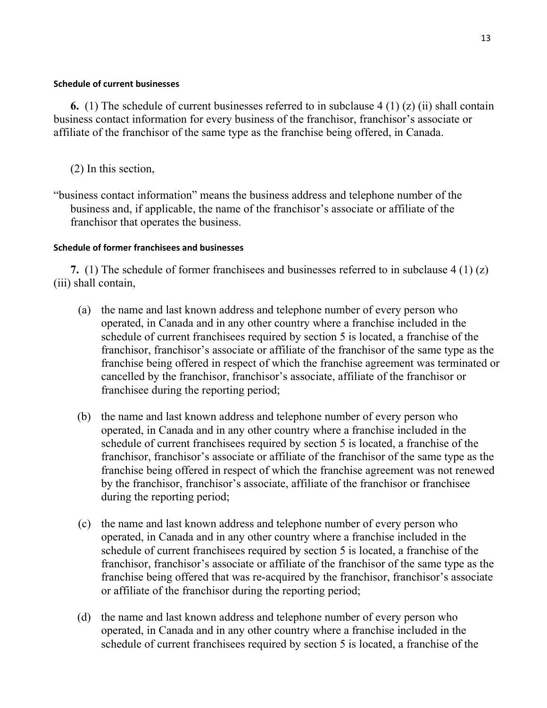### Schedule of current businesses

6. (1) The schedule of current businesses referred to in subclause  $4(1)(z)(ii)$  shall contain business contact information for every business of the franchisor, franchisor's associate or affiliate of the franchisor of the same type as the franchise being offered, in Canada.

- (2) In this section,
- "business contact information" means the business address and telephone number of the business and, if applicable, the name of the franchisor's associate or affiliate of the franchisor that operates the business.

### Schedule of former franchisees and businesses

7. (1) The schedule of former franchisees and businesses referred to in subclause 4 (1) (z) (iii) shall contain,

- (a) the name and last known address and telephone number of every person who operated, in Canada and in any other country where a franchise included in the schedule of current franchisees required by section 5 is located, a franchise of the franchisor, franchisor's associate or affiliate of the franchisor of the same type as the franchise being offered in respect of which the franchise agreement was terminated or cancelled by the franchisor, franchisor's associate, affiliate of the franchisor or franchisee during the reporting period;
- (b) the name and last known address and telephone number of every person who operated, in Canada and in any other country where a franchise included in the schedule of current franchisees required by section 5 is located, a franchise of the franchisor, franchisor's associate or affiliate of the franchisor of the same type as the franchise being offered in respect of which the franchise agreement was not renewed by the franchisor, franchisor's associate, affiliate of the franchisor or franchisee during the reporting period;
- (c) the name and last known address and telephone number of every person who operated, in Canada and in any other country where a franchise included in the schedule of current franchisees required by section 5 is located, a franchise of the franchisor, franchisor's associate or affiliate of the franchisor of the same type as the franchise being offered that was re-acquired by the franchisor, franchisor's associate or affiliate of the franchisor during the reporting period;
- (d) the name and last known address and telephone number of every person who operated, in Canada and in any other country where a franchise included in the schedule of current franchisees required by section 5 is located, a franchise of the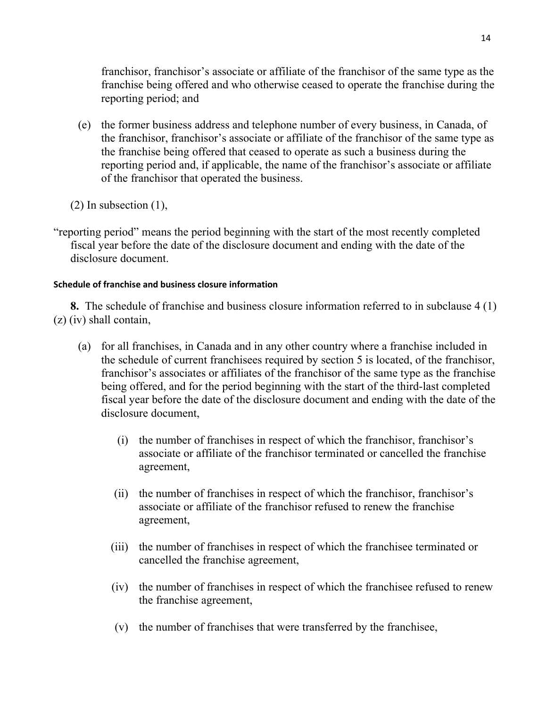franchisor, franchisor's associate or affiliate of the franchisor of the same type as the franchise being offered and who otherwise ceased to operate the franchise during the reporting period; and

- (e) the former business address and telephone number of every business, in Canada, of the franchisor, franchisor's associate or affiliate of the franchisor of the same type as the franchise being offered that ceased to operate as such a business during the reporting period and, if applicable, the name of the franchisor's associate or affiliate of the franchisor that operated the business.
- (2) In subsection (1),
- "reporting period" means the period beginning with the start of the most recently completed fiscal year before the date of the disclosure document and ending with the date of the disclosure document.

# Schedule of franchise and business closure information

8. The schedule of franchise and business closure information referred to in subclause 4 (1) (z) (iv) shall contain,

- (a) for all franchises, in Canada and in any other country where a franchise included in the schedule of current franchisees required by section 5 is located, of the franchisor, franchisor's associates or affiliates of the franchisor of the same type as the franchise being offered, and for the period beginning with the start of the third-last completed fiscal year before the date of the disclosure document and ending with the date of the disclosure document,
	- (i) the number of franchises in respect of which the franchisor, franchisor's associate or affiliate of the franchisor terminated or cancelled the franchise agreement,
	- (ii) the number of franchises in respect of which the franchisor, franchisor's associate or affiliate of the franchisor refused to renew the franchise agreement,
	- (iii) the number of franchises in respect of which the franchisee terminated or cancelled the franchise agreement,
	- (iv) the number of franchises in respect of which the franchisee refused to renew the franchise agreement,
	- (v) the number of franchises that were transferred by the franchisee,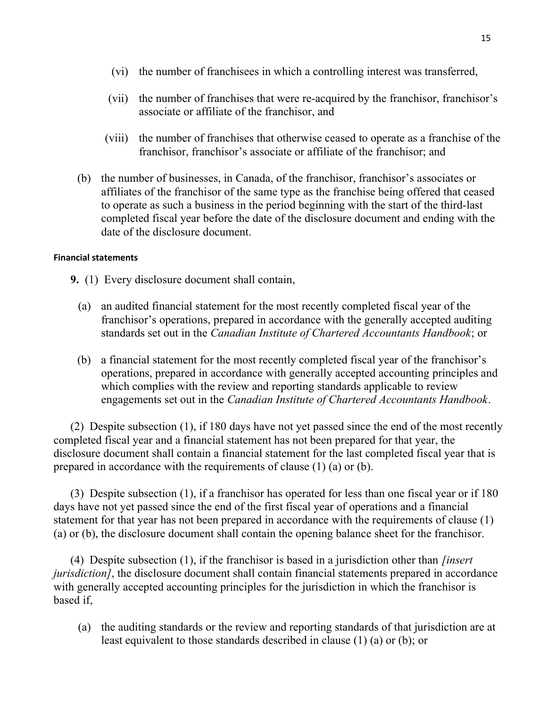- (vi) the number of franchisees in which a controlling interest was transferred,
- (vii) the number of franchises that were re-acquired by the franchisor, franchisor's associate or affiliate of the franchisor, and
- (viii) the number of franchises that otherwise ceased to operate as a franchise of the franchisor, franchisor's associate or affiliate of the franchisor; and
- (b) the number of businesses, in Canada, of the franchisor, franchisor's associates or affiliates of the franchisor of the same type as the franchise being offered that ceased to operate as such a business in the period beginning with the start of the third-last completed fiscal year before the date of the disclosure document and ending with the date of the disclosure document.

### Financial statements

- 9. (1) Every disclosure document shall contain,
	- (a) an audited financial statement for the most recently completed fiscal year of the franchisor's operations, prepared in accordance with the generally accepted auditing standards set out in the Canadian Institute of Chartered Accountants Handbook; or
	- (b) a financial statement for the most recently completed fiscal year of the franchisor's operations, prepared in accordance with generally accepted accounting principles and which complies with the review and reporting standards applicable to review engagements set out in the Canadian Institute of Chartered Accountants Handbook.

 (2) Despite subsection (1), if 180 days have not yet passed since the end of the most recently completed fiscal year and a financial statement has not been prepared for that year, the disclosure document shall contain a financial statement for the last completed fiscal year that is prepared in accordance with the requirements of clause (1) (a) or (b).

 (3) Despite subsection (1), if a franchisor has operated for less than one fiscal year or if 180 days have not yet passed since the end of the first fiscal year of operations and a financial statement for that year has not been prepared in accordance with the requirements of clause (1) (a) or (b), the disclosure document shall contain the opening balance sheet for the franchisor.

(4) Despite subsection  $(1)$ , if the franchisor is based in a jurisdiction other than *finsert* jurisdiction], the disclosure document shall contain financial statements prepared in accordance with generally accepted accounting principles for the jurisdiction in which the franchisor is based if,

 (a) the auditing standards or the review and reporting standards of that jurisdiction are at least equivalent to those standards described in clause (1) (a) or (b); or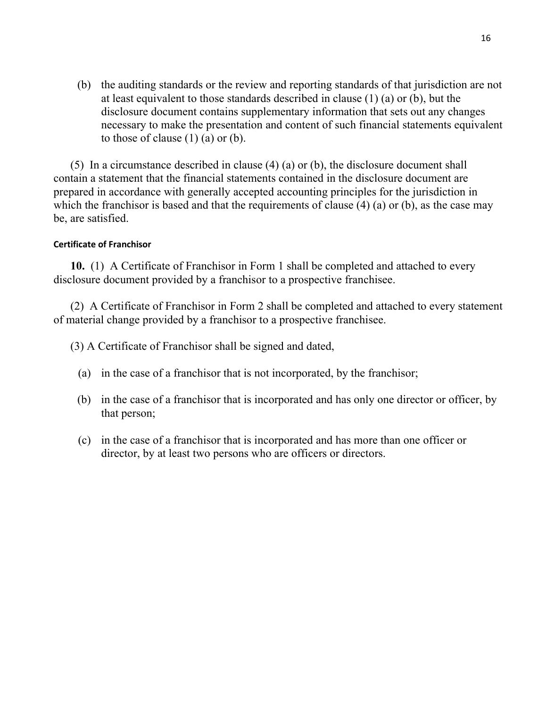(b) the auditing standards or the review and reporting standards of that jurisdiction are not at least equivalent to those standards described in clause (1) (a) or (b), but the disclosure document contains supplementary information that sets out any changes necessary to make the presentation and content of such financial statements equivalent to those of clause  $(1)$   $(a)$  or  $(b)$ .

 (5) In a circumstance described in clause (4) (a) or (b), the disclosure document shall contain a statement that the financial statements contained in the disclosure document are prepared in accordance with generally accepted accounting principles for the jurisdiction in which the franchisor is based and that the requirements of clause (4) (a) or (b), as the case may be, are satisfied.

### Certificate of Franchisor

 10. (1) A Certificate of Franchisor in Form 1 shall be completed and attached to every disclosure document provided by a franchisor to a prospective franchisee.

 (2) A Certificate of Franchisor in Form 2 shall be completed and attached to every statement of material change provided by a franchisor to a prospective franchisee.

- (3) A Certificate of Franchisor shall be signed and dated,
	- (a) in the case of a franchisor that is not incorporated, by the franchisor;
	- (b) in the case of a franchisor that is incorporated and has only one director or officer, by that person;
	- (c) in the case of a franchisor that is incorporated and has more than one officer or director, by at least two persons who are officers or directors.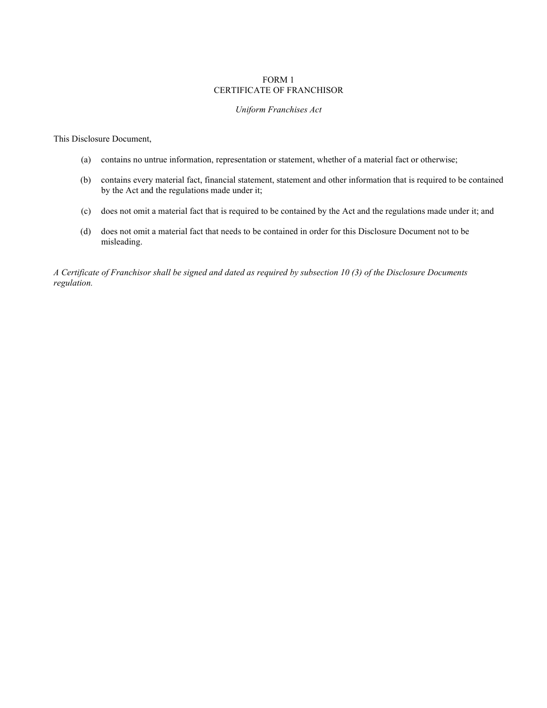#### FORM 1 CERTIFICATE OF FRANCHISOR

#### Uniform Franchises Act

This Disclosure Document,

- (a) contains no untrue information, representation or statement, whether of a material fact or otherwise;
- (b) contains every material fact, financial statement, statement and other information that is required to be contained by the Act and the regulations made under it;
- (c) does not omit a material fact that is required to be contained by the Act and the regulations made under it; and
- (d) does not omit a material fact that needs to be contained in order for this Disclosure Document not to be misleading.

A Certificate of Franchisor shall be signed and dated as required by subsection 10 (3) of the Disclosure Documents regulation.